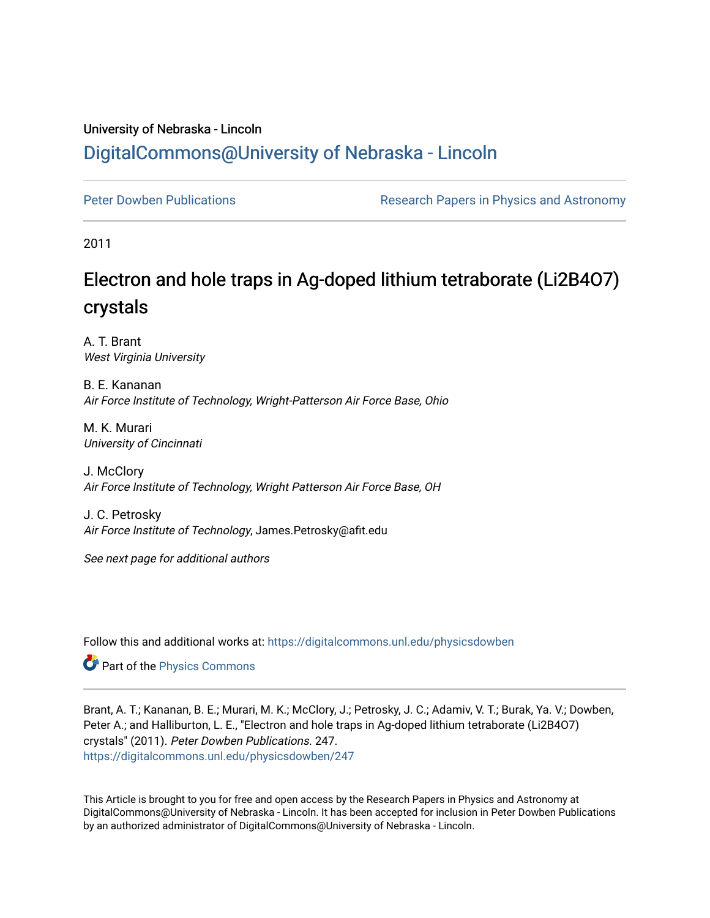# University of Nebraska - Lincoln [DigitalCommons@University of Nebraska - Lincoln](https://digitalcommons.unl.edu/)

[Peter Dowben Publications](https://digitalcommons.unl.edu/physicsdowben) **Research Papers in Physics and Astronomy** 

2011

# Electron and hole traps in Ag-doped lithium tetraborate (Li2B4O7) crystals

A. T. Brant West Virginia University

B. E. Kananan Air Force Institute of Technology, Wright-Patterson Air Force Base, Ohio

M. K. Murari University of Cincinnati

J. McClory Air Force Institute of Technology, Wright Patterson Air Force Base, OH

J. C. Petrosky Air Force Institute of Technology, James.Petrosky@afit.edu

See next page for additional authors

Follow this and additional works at: [https://digitalcommons.unl.edu/physicsdowben](https://digitalcommons.unl.edu/physicsdowben?utm_source=digitalcommons.unl.edu%2Fphysicsdowben%2F247&utm_medium=PDF&utm_campaign=PDFCoverPages) 

Part of the [Physics Commons](http://network.bepress.com/hgg/discipline/193?utm_source=digitalcommons.unl.edu%2Fphysicsdowben%2F247&utm_medium=PDF&utm_campaign=PDFCoverPages)

Brant, A. T.; Kananan, B. E.; Murari, M. K.; McClory, J.; Petrosky, J. C.; Adamiv, V. T.; Burak, Ya. V.; Dowben, Peter A.; and Halliburton, L. E., "Electron and hole traps in Ag-doped lithium tetraborate (Li2B4O7) crystals" (2011). Peter Dowben Publications. 247. [https://digitalcommons.unl.edu/physicsdowben/247](https://digitalcommons.unl.edu/physicsdowben/247?utm_source=digitalcommons.unl.edu%2Fphysicsdowben%2F247&utm_medium=PDF&utm_campaign=PDFCoverPages) 

This Article is brought to you for free and open access by the Research Papers in Physics and Astronomy at DigitalCommons@University of Nebraska - Lincoln. It has been accepted for inclusion in Peter Dowben Publications by an authorized administrator of DigitalCommons@University of Nebraska - Lincoln.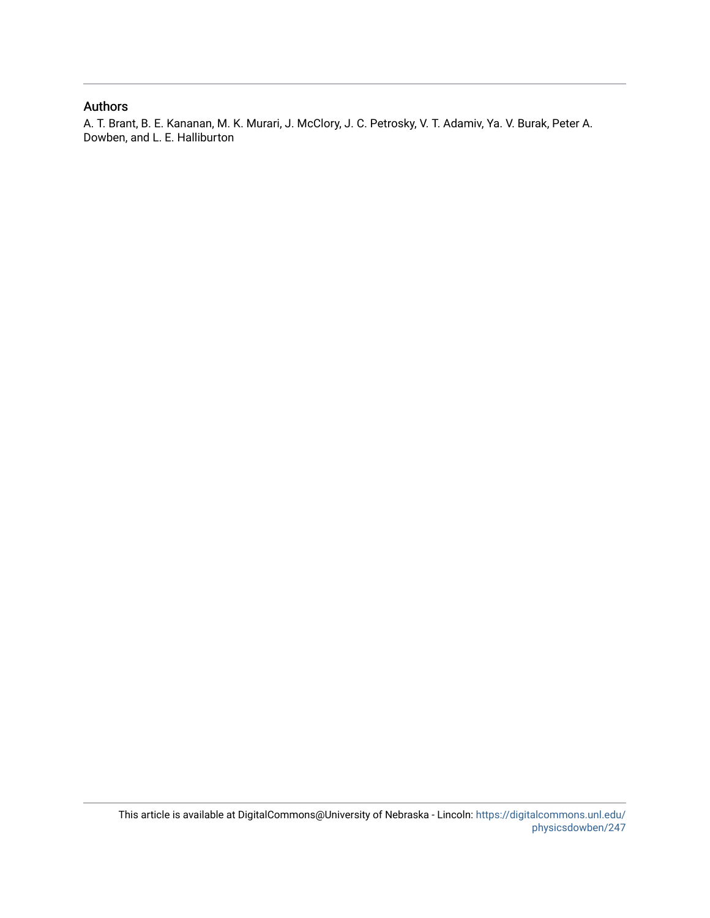### Authors

A. T. Brant, B. E. Kananan, M. K. Murari, J. McClory, J. C. Petrosky, V. T. Adamiv, Ya. V. Burak, Peter A. Dowben, and L. E. Halliburton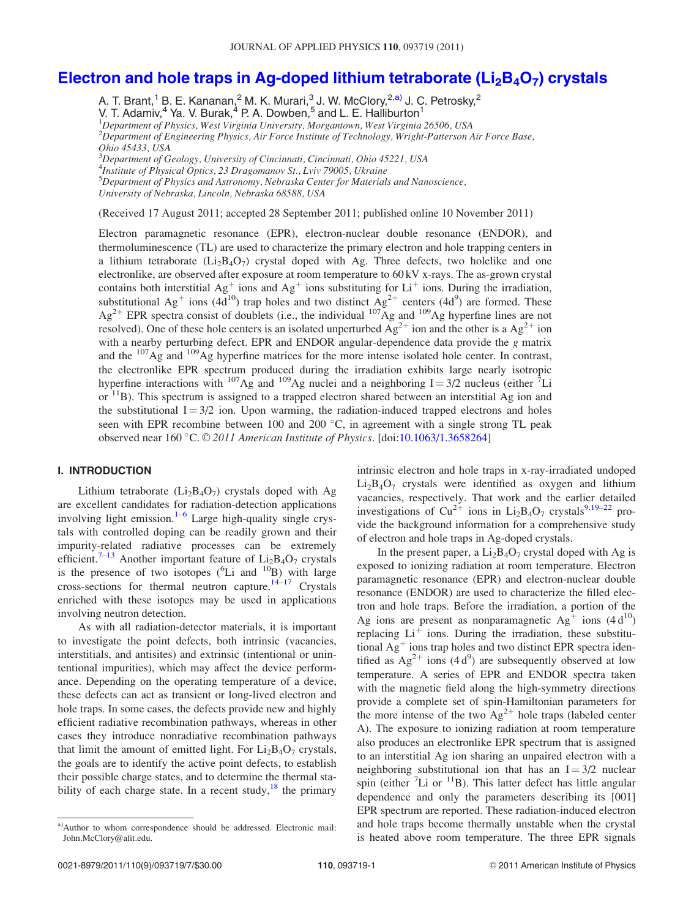## Electron and hole traps in Ag-doped lithium tetraborate ( $Li<sub>2</sub>B<sub>4</sub>O<sub>7</sub>$ ) crystals

A. T. Brant,<sup>1</sup> B. E. Kananan,<sup>2</sup> M. K. Murari,<sup>3</sup> J. W. McClory,<sup>2,a)</sup> J. C. Petrosky,<sup>2</sup> V. T. Adamiv,<sup>4</sup> Ya. V. Burak,<sup>4</sup> P. A. Dowben,<sup>5</sup> and L. E. Halliburton<sup>1</sup> <sup>1</sup>Department of Physics, West Virginia University, Morgantown, West Virginia 26506, USA  $^2$ Department of Engineering Physics, Air Force Institute of Technology, Wright-Patterson Air Force Base, Ohio 45433, USA <sup>3</sup>Department of Geology, University of Cincinnati, Cincinnati, Ohio 45221, USA <sup>4</sup>Institute of Physical Optics, 23 Dragomanov St., Lviv 79005, Ukraine 5 Department of Physics and Astronomy, Nebraska Center for Materials and Nanoscience, University of Nebraska, Lincoln, Nebraska 68588, USA

(Received 17 August 2011; accepted 28 September 2011; published online 10 November 2011)

Electron paramagnetic resonance (EPR), electron-nuclear double resonance (ENDOR), and thermoluminescence (TL) are used to characterize the primary electron and hole trapping centers in a lithium tetraborate  $(L_2B_4O_7)$  crystal doped with Ag. Three defects, two holelike and one electronlike, are observed after exposure at room temperature to 60 kV x-rays. The as-grown crystal contains both interstitial  $Ag<sup>+</sup>$  ions and  $Ag<sup>+</sup>$  ions substituting for Li<sup>+</sup> ions. During the irradiation, substitutional Ag<sup>+</sup> ions (4d<sup>10</sup>) trap holes and two distinct Ag<sup>2+</sup> centers (4d<sup>9</sup>) are formed. These  $Ag^{2+}$  EPR spectra consist of doublets (i.e., the individual  $^{107}Ag$  and  $^{109}Ag$  hyperfine lines are not resolved). One of these hole centers is an isolated unperturbed  $\overrightarrow{Ag}^{2+}$  ion and the other is a  $Ag^{2+}$  ion with a nearby perturbing defect. EPR and ENDOR angular-dependence data provide the g matrix and the 107Ag and 109Ag hyperfine matrices for the more intense isolated hole center. In contrast, the electronlike EPR spectrum produced during the irradiation exhibits large nearly isotropic hyperfine interactions with <sup>107</sup>Ag and <sup>109</sup>Ag nuclei and a neighboring I = 3/2 nucleus (either <sup>7</sup>Li or <sup>11</sup>B). This spectrum is assigned to a trapped electron shared between an interstitial Ag ion and the substitutional  $I = 3/2$  ion. Upon warming, the radiation-induced trapped electrons and holes seen with EPR recombine between 100 and 200 °C, in agreement with a single strong TL peak observed near 160 °C. © 2011 American Institute of Physics. [doi[:10.1063/1.3658264](http://dx.doi.org/10.1063/1.3658264)]

#### I. INTRODUCTION

Lithium tetraborate  $(Li<sub>2</sub>B<sub>4</sub>O<sub>7</sub>)$  crystals doped with Ag are excellent candidates for radiation-detection applications involving light emission. $1-6$  Large high-quality single crystals with controlled doping can be readily grown and their impurity-related radiative processes can be extremely efficient.<sup>[7](#page-8-0)–[13](#page-8-0)</sup> Another important feature of  $Li_2B_4O_7$  crystals is the presence of two isotopes  $(^{6}Li$  and  $^{10}B)$  with large cross-sections for thermal neutron capture.<sup>[14–17](#page-8-0)</sup> Crystals enriched with these isotopes may be used in applications involving neutron detection.

As with all radiation-detector materials, it is important to investigate the point defects, both intrinsic (vacancies, interstitials, and antisites) and extrinsic (intentional or unintentional impurities), which may affect the device performance. Depending on the operating temperature of a device, these defects can act as transient or long-lived electron and hole traps. In some cases, the defects provide new and highly efficient radiative recombination pathways, whereas in other cases they introduce nonradiative recombination pathways that limit the amount of emitted light. For  $Li_2B_4O_7$  crystals, the goals are to identify the active point defects, to establish their possible charge states, and to determine the thermal stability of each charge state. In a recent study,  $18$  the primary intrinsic electron and hole traps in x-ray-irradiated undoped  $Li<sub>2</sub>B<sub>4</sub>O<sub>7</sub>$  crystals were identified as oxygen and lithium vacancies, respectively. That work and the earlier detailed investigations of  $Cu^{2+}$  ions in  $Li_2B_4O_7$  crystals<sup>[9,19–22](#page-8-0)</sup> provide the background information for a comprehensive study of electron and hole traps in Ag-doped crystals.

In the present paper, a  $Li<sub>2</sub>B<sub>4</sub>O<sub>7</sub>$  crystal doped with Ag is exposed to ionizing radiation at room temperature. Electron paramagnetic resonance (EPR) and electron-nuclear double resonance (ENDOR) are used to characterize the filled electron and hole traps. Before the irradiation, a portion of the Ag ions are present as nonparamagnetic  $Ag<sup>+</sup>$  ions (4 d<sup>10</sup>) replacing  $Li<sup>+</sup>$  ions. During the irradiation, these substitutional  $Ag<sup>+</sup>$  ions trap holes and two distinct EPR spectra identified as  $Ag^{2+}$  ions (4 d<sup>9</sup>) are subsequently observed at low temperature. A series of EPR and ENDOR spectra taken with the magnetic field along the high-symmetry directions provide a complete set of spin-Hamiltonian parameters for the more intense of the two  $Ag^{2+}$  hole traps (labeled center A). The exposure to ionizing radiation at room temperature also produces an electronlike EPR spectrum that is assigned to an interstitial Ag ion sharing an unpaired electron with a neighboring substitutional ion that has an  $I = 3/2$  nuclear spin (either  ${}^{7}Li$  or  ${}^{11}B$ ). This latter defect has little angular dependence and only the parameters describing its [001] EPR spectrum are reported. These radiation-induced electron and hole traps become thermally unstable when the crystal is heated above room temperature. The three EPR signals

a)Author to whom correspondence should be addressed. Electronic mail: John.McClory@afit.edu.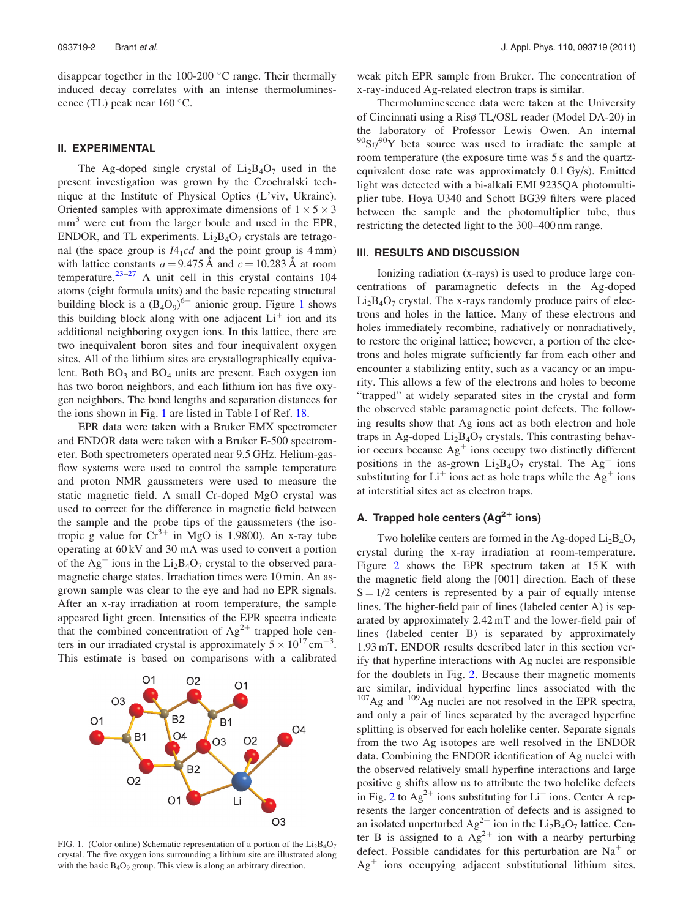disappear together in the 100-200 °C range. Their thermally induced decay correlates with an intense thermoluminescence (TL) peak near  $160^{\circ}$ C.

#### II. EXPERIMENTAL

The Ag-doped single crystal of  $Li_2B_4O_7$  used in the present investigation was grown by the Czochralski technique at the Institute of Physical Optics (L'viv, Ukraine). Oriented samples with approximate dimensions of  $1 \times 5 \times 3$  $mm<sup>3</sup>$  were cut from the larger boule and used in the EPR, ENDOR, and TL experiments.  $Li<sub>2</sub>B<sub>4</sub>O<sub>7</sub>$  crystals are tetragonal (the space group is  $I4_1cd$  and the point group is  $4 \text{ mm}$ ) with lattice constants  $a = 9.475$  Å and  $c = 10.283$  Å at room temperature.<sup>[23](#page-8-0)–[27](#page-8-0)</sup> A unit cell in this crystal contains  $104$ atoms (eight formula units) and the basic repeating structural building block is a  $(B_4O_9)^{6-}$  anionic group. Figure 1 shows this building block along with one adjacent  $Li<sup>+</sup>$  ion and its additional neighboring oxygen ions. In this lattice, there are two inequivalent boron sites and four inequivalent oxygen sites. All of the lithium sites are crystallographically equivalent. Both  $BO<sub>3</sub>$  and  $BO<sub>4</sub>$  units are present. Each oxygen ion has two boron neighbors, and each lithium ion has five oxygen neighbors. The bond lengths and separation distances for the ions shown in Fig. 1 are listed in Table I of Ref. [18.](#page-8-0)

EPR data were taken with a Bruker EMX spectrometer and ENDOR data were taken with a Bruker E-500 spectrometer. Both spectrometers operated near 9.5 GHz. Helium-gasflow systems were used to control the sample temperature and proton NMR gaussmeters were used to measure the static magnetic field. A small Cr-doped MgO crystal was used to correct for the difference in magnetic field between the sample and the probe tips of the gaussmeters (the isotropic g value for  $Cr^{3+}$  in MgO is 1.9800). An x-ray tube operating at 60 kV and 30 mA was used to convert a portion of the Ag<sup>+</sup> ions in the Li<sub>2</sub>B<sub>4</sub>O<sub>7</sub> crystal to the observed paramagnetic charge states. Irradiation times were 10 min. An asgrown sample was clear to the eye and had no EPR signals. After an x-ray irradiation at room temperature, the sample appeared light green. Intensities of the EPR spectra indicate that the combined concentration of  $Ag^{2+}$  trapped hole centers in our irradiated crystal is approximately  $5 \times 10^{17}$  cm<sup>-3</sup>. This estimate is based on comparisons with a calibrated



FIG. 1. (Color online) Schematic representation of a portion of the  $Li_2B_4O_7$ crystal. The five oxygen ions surrounding a lithium site are illustrated along with the basic  $B_4O_9$  group. This view is along an arbitrary direction.

weak pitch EPR sample from Bruker. The concentration of x-ray-induced Ag-related electron traps is similar.

Thermoluminescence data were taken at the University of Cincinnati using a Risø TL/OSL reader (Model DA-20) in the laboratory of Professor Lewis Owen. An internal  $90\text{Sr}$ <sup>90</sup>Y beta source was used to irradiate the sample at room temperature (the exposure time was 5 s and the quartzequivalent dose rate was approximately 0.1 Gy/s). Emitted light was detected with a bi-alkali EMI 9235QA photomultiplier tube. Hoya U340 and Schott BG39 filters were placed between the sample and the photomultiplier tube, thus restricting the detected light to the 300–400 nm range.

#### III. RESULTS AND DISCUSSION

Ionizing radiation (x-rays) is used to produce large concentrations of paramagnetic defects in the Ag-doped  $Li<sub>2</sub>B<sub>4</sub>O<sub>7</sub>$  crystal. The x-rays randomly produce pairs of electrons and holes in the lattice. Many of these electrons and holes immediately recombine, radiatively or nonradiatively, to restore the original lattice; however, a portion of the electrons and holes migrate sufficiently far from each other and encounter a stabilizing entity, such as a vacancy or an impurity. This allows a few of the electrons and holes to become "trapped" at widely separated sites in the crystal and form the observed stable paramagnetic point defects. The following results show that Ag ions act as both electron and hole traps in Ag-doped  $Li<sub>2</sub>B<sub>4</sub>O<sub>7</sub>$  crystals. This contrasting behavior occurs because  $Ag<sup>+</sup>$  ions occupy two distinctly different positions in the as-grown  $Li_2B_4O_7$  crystal. The Ag<sup>+</sup> ions substituting for  $Li<sup>+</sup>$  ions act as hole traps while the Ag<sup>+</sup> ions at interstitial sites act as electron traps.

## A. Trapped hole centers  $(Ag^{2+}$  ions)

Two holelike centers are formed in the Ag-doped  $Li_2B_4O_7$ crystal during the x-ray irradiation at room-temperature. Figure [2](#page-4-0) shows the EPR spectrum taken at  $15K$  with the magnetic field along the [001] direction. Each of these  $S = 1/2$  centers is represented by a pair of equally intense lines. The higher-field pair of lines (labeled center A) is separated by approximately 2.42 mT and the lower-field pair of lines (labeled center B) is separated by approximately 1.93 mT. ENDOR results described later in this section verify that hyperfine interactions with Ag nuclei are responsible for the doublets in Fig. [2.](#page-4-0) Because their magnetic moments are similar, individual hyperfine lines associated with the  $107$ Ag and  $109$ Ag nuclei are not resolved in the EPR spectra, and only a pair of lines separated by the averaged hyperfine splitting is observed for each holelike center. Separate signals from the two Ag isotopes are well resolved in the ENDOR data. Combining the ENDOR identification of Ag nuclei with the observed relatively small hyperfine interactions and large positive g shifts allow us to attribute the two holelike defects in Fig. [2](#page-4-0) to  $Ag^{2+}$  ions substituting for Li<sup>+</sup> ions. Center A represents the larger concentration of defects and is assigned to an isolated unperturbed  $Ag^{2+}$  ion in the Li<sub>2</sub>B<sub>4</sub>O<sub>7</sub> lattice. Center B is assigned to a  $Ag^{2+}$  ion with a nearby perturbing defect. Possible candidates for this perturbation are  $Na<sup>+</sup>$  or  $Ag<sup>+</sup>$  ions occupying adjacent substitutional lithium sites.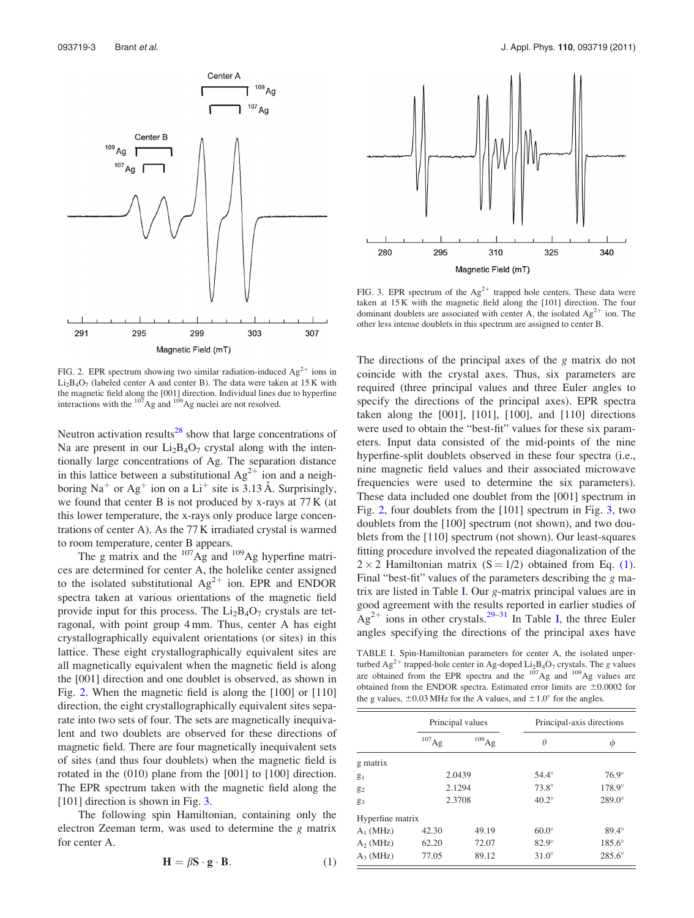<span id="page-4-0"></span>

FIG. 2. EPR spectrum showing two similar radiation-induced  $Ag^{2+}$  ions in  $Li<sub>2</sub>B<sub>4</sub>O<sub>7</sub>$  (labeled center A and center B). The data were taken at 15 K with the magnetic field along the [001] direction. Individual lines due to hyperfine interactions with the <sup>107</sup>Ag and <sup>109</sup>Ag nuclei are not resolved.

Neutron activation results<sup>[28](#page-8-0)</sup> show that large concentrations of Na are present in our  $Li_2B_4O_7$  crystal along with the intentionally large concentrations of Ag. The separation distance in this lattice between a substitutional  $Ag^{2+}$  ion and a neighboring Na<sup>+</sup> or Ag<sup>+</sup> ion on a Li<sup>+</sup> site is 3.13 Å. Surprisingly, we found that center B is not produced by x-rays at 77 K (at this lower temperature, the x-rays only produce large concentrations of center A). As the 77 K irradiated crystal is warmed to room temperature, center B appears.

The g matrix and the  $^{107}$ Ag and  $^{109}$ Ag hyperfine matrices are determined for center A, the holelike center assigned to the isolated substitutional  $Ag^{2+}$  ion. EPR and ENDOR spectra taken at various orientations of the magnetic field provide input for this process. The  $Li<sub>2</sub>B<sub>4</sub>O<sub>7</sub>$  crystals are tetragonal, with point group 4 mm. Thus, center A has eight crystallographically equivalent orientations (or sites) in this lattice. These eight crystallographically equivalent sites are all magnetically equivalent when the magnetic field is along the [001] direction and one doublet is observed, as shown in Fig. 2. When the magnetic field is along the [100] or [110] direction, the eight crystallographically equivalent sites separate into two sets of four. The sets are magnetically inequivalent and two doublets are observed for these directions of magnetic field. There are four magnetically inequivalent sets of sites (and thus four doublets) when the magnetic field is rotated in the (010) plane from the [001] to [100] direction. The EPR spectrum taken with the magnetic field along the [101] direction is shown in Fig. 3.

The following spin Hamiltonian, containing only the electron Zeeman term, was used to determine the g matrix for center A.

$$
\mathbf{H} = \beta \mathbf{S} \cdot \mathbf{g} \cdot \mathbf{B}.\tag{1}
$$



FIG. 3. EPR spectrum of the  $Ag^{2+}$  trapped hole centers. These data were taken at 15 K with the magnetic field along the [101] direction. The four dominant doublets are associated with center A, the isolated  $Ag^{2+}$  ion. The other less intense doublets in this spectrum are assigned to center B.

The directions of the principal axes of the g matrix do not coincide with the crystal axes. Thus, six parameters are required (three principal values and three Euler angles to specify the directions of the principal axes). EPR spectra taken along the [001], [101], [100], and [110] directions were used to obtain the "best-fit" values for these six parameters. Input data consisted of the mid-points of the nine hyperfine-split doublets observed in these four spectra (i.e., nine magnetic field values and their associated microwave frequencies were used to determine the six parameters). These data included one doublet from the [001] spectrum in Fig. 2, four doublets from the [101] spectrum in Fig. 3, two doublets from the [100] spectrum (not shown), and two doublets from the [110] spectrum (not shown). Our least-squares fitting procedure involved the repeated diagonalization of the  $2 \times 2$  Hamiltonian matrix (S = 1/2) obtained from Eq. (1). Final "best-fit" values of the parameters describing the g matrix are listed in Table I. Our g-matrix principal values are in good agreement with the results reported in earlier studies of  $Ag<sup>2+</sup>$  ions in other crystals.<sup>[29–31](#page-8-0)</sup> In Table I, the three Euler angles specifying the directions of the principal axes have

TABLE I. Spin-Hamiltonian parameters for center A, the isolated unperturbed Ag<sup>2+</sup> trapped-hole center in Ag-doped Li<sub>2</sub>B<sub>4</sub>O<sub>7</sub> crystals. The g values are obtained from the EPR spectra and the <sup>107</sup>Ag and <sup>109</sup>Ag values are obtained from the ENDOR spectra. Estimated error limits are  $\pm 0.0002$  for the g values,  $\pm 0.03$  MHz for the A values, and  $\pm 1.0^{\circ}$  for the angles.

|                  |                     | Principal values    |              | Principal-axis directions |  |
|------------------|---------------------|---------------------|--------------|---------------------------|--|
|                  | $^{107}\mathrm{Ag}$ | $^{109}\mathrm{Ag}$ | $\theta$     | Φ                         |  |
| g matrix         |                     |                     |              |                           |  |
| $\mathbf{g}_1$   | 2.0439              |                     | $54.4^\circ$ | $76.9^\circ$              |  |
| $g_2$            | 2.1294              |                     | $73.8^\circ$ | 178.9°                    |  |
| $g_3$            | 2.3708              |                     | $40.2^\circ$ | $289.0^\circ$             |  |
| Hyperfine matrix |                     |                     |              |                           |  |
| $A_1$ (MHz)      | 42.30               | 49.19               | $60.0^\circ$ | $89.4^\circ$              |  |
| $A_2$ (MHz)      | 62.20               | 72.07               | $82.9^\circ$ | $185.6^{\circ}$           |  |
| $A_3$ (MHz)      | 77.05               | 89.12               | $31.0^\circ$ | $285.6^{\circ}$           |  |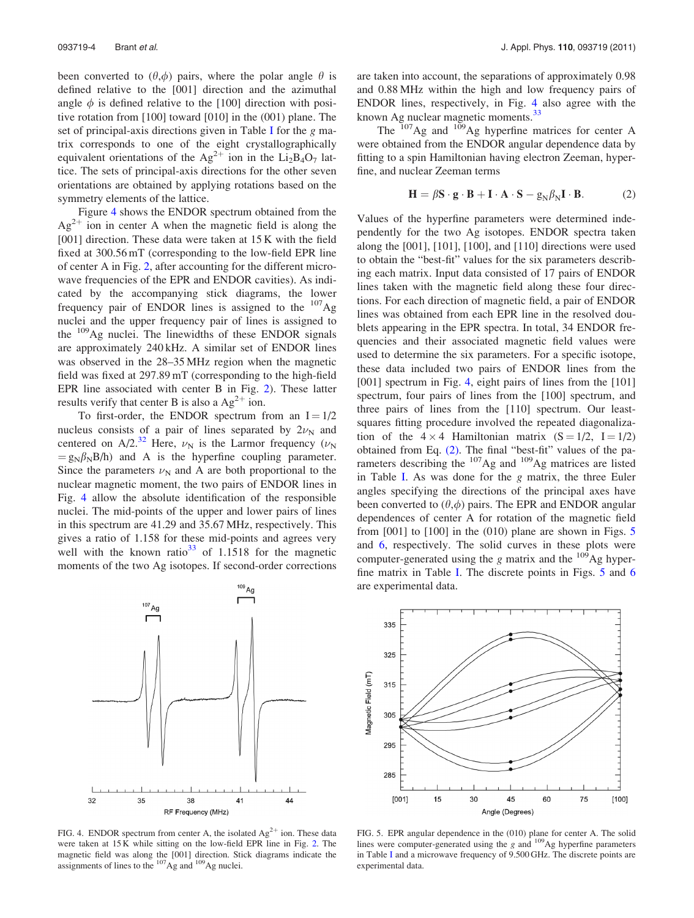been converted to  $(\theta, \phi)$  pairs, where the polar angle  $\theta$  is defined relative to the [001] direction and the azimuthal angle  $\phi$  is defined relative to the [100] direction with positive rotation from [100] toward [010] in the (001) plane. The set of principal-axis directions given in Table [I](#page-4-0) for the g matrix corresponds to one of the eight crystallographically equivalent orientations of the Ag<sup>2+</sup> ion in the Li<sub>2</sub>B<sub>4</sub>O<sub>7</sub> lattice. The sets of principal-axis directions for the other seven orientations are obtained by applying rotations based on the symmetry elements of the lattice.

Figure 4 shows the ENDOR spectrum obtained from the  $Ag^{2+}$  ion in center A when the magnetic field is along the [001] direction. These data were taken at 15 K with the field fixed at 300.56 mT (corresponding to the low-field EPR line of center A in Fig. [2,](#page-4-0) after accounting for the different microwave frequencies of the EPR and ENDOR cavities). As indicated by the accompanying stick diagrams, the lower frequency pair of ENDOR lines is assigned to the  $107\text{Ag}$ nuclei and the upper frequency pair of lines is assigned to the  $109$ Ag nuclei. The linewidths of these ENDOR signals are approximately 240 kHz. A similar set of ENDOR lines was observed in the 28–35 MHz region when the magnetic field was fixed at 297.89 mT (corresponding to the high-field EPR line associated with center B in Fig. [2\)](#page-4-0). These latter results verify that center B is also a  $Ag^{2+}$  ion.

To first-order, the ENDOR spectrum from an  $I = 1/2$ nucleus consists of a pair of lines separated by  $2\nu_N$  and centered on A/2.<sup>[32](#page-8-0)</sup> Here,  $\nu_N$  is the Larmor frequency ( $\nu_N$  $= g_N \beta_N B/h$ ) and A is the hyperfine coupling parameter. Since the parameters  $\nu_N$  and A are both proportional to the nuclear magnetic moment, the two pairs of ENDOR lines in Fig. 4 allow the absolute identification of the responsible nuclei. The mid-points of the upper and lower pairs of lines in this spectrum are 41.29 and 35.67 MHz, respectively. This gives a ratio of 1.158 for these mid-points and agrees very well with the known ratio<sup>[33](#page-8-0)</sup> of 1.1518 for the magnetic moments of the two Ag isotopes. If second-order corrections

 $\mathbf{L}$ 32 35 38 41 44 RF Frequency (MHz)

FIG. 4. ENDOR spectrum from center A, the isolated  $Ag^{2+}$  ion. These data were taken at 15 K while sitting on the low-field EPR line in Fig. [2](#page-4-0). The magnetic field was along the [001] direction. Stick diagrams indicate the assignments of lines to the  $^{107}$ Ag and  $^{109}$ Ag nuclei.

are taken into account, the separations of approximately 0.98 and 0.88 MHz within the high and low frequency pairs of ENDOR lines, respectively, in Fig. 4 also agree with the known Ag nuclear magnetic moments.<sup>[33](#page-8-0)</sup>

The  $107\text{Ag}$  and  $109\text{Ag}$  hyperfine matrices for center A were obtained from the ENDOR angular dependence data by fitting to a spin Hamiltonian having electron Zeeman, hyperfine, and nuclear Zeeman terms

$$
\mathbf{H} = \beta \mathbf{S} \cdot \mathbf{g} \cdot \mathbf{B} + \mathbf{I} \cdot \mathbf{A} \cdot \mathbf{S} - g_N \beta_N \mathbf{I} \cdot \mathbf{B}.
$$
 (2)

Values of the hyperfine parameters were determined independently for the two Ag isotopes. ENDOR spectra taken along the [001], [101], [100], and [110] directions were used to obtain the "best-fit" values for the six parameters describing each matrix. Input data consisted of 17 pairs of ENDOR lines taken with the magnetic field along these four directions. For each direction of magnetic field, a pair of ENDOR lines was obtained from each EPR line in the resolved doublets appearing in the EPR spectra. In total, 34 ENDOR frequencies and their associated magnetic field values were used to determine the six parameters. For a specific isotope, these data included two pairs of ENDOR lines from the [001] spectrum in Fig. 4, eight pairs of lines from the [101] spectrum, four pairs of lines from the [100] spectrum, and three pairs of lines from the [110] spectrum. Our leastsquares fitting procedure involved the repeated diagonalization of the  $4 \times 4$  Hamiltonian matrix  $(S = 1/2, I = 1/2)$ obtained from Eq. (2). The final "best-fit" values of the parameters describing the <sup>107</sup>Ag and <sup>109</sup>Ag matrices are listed in Table [I.](#page-4-0) As was done for the g matrix, the three Euler angles specifying the directions of the principal axes have been converted to  $(\theta,\phi)$  pairs. The EPR and ENDOR angular dependences of center A for rotation of the magnetic field from  $[001]$  to  $[100]$  in the  $(010)$  plane are shown in Figs. 5 and [6](#page-6-0), respectively. The solid curves in these plots were computer-generated using the  $g$  matrix and the  $^{109}$ Ag hyperfine matrix in Table [I](#page-4-0). The discrete points in Figs. 5 and [6](#page-6-0) are experimental data.



FIG. 5. EPR angular dependence in the (010) plane for center A. The solid lines were computer-generated using the  $g$  and  $^{109}$ Ag hyperfine parameters in Table [I](#page-4-0) and a microwave frequency of 9.500 GHz. The discrete points are experimental data.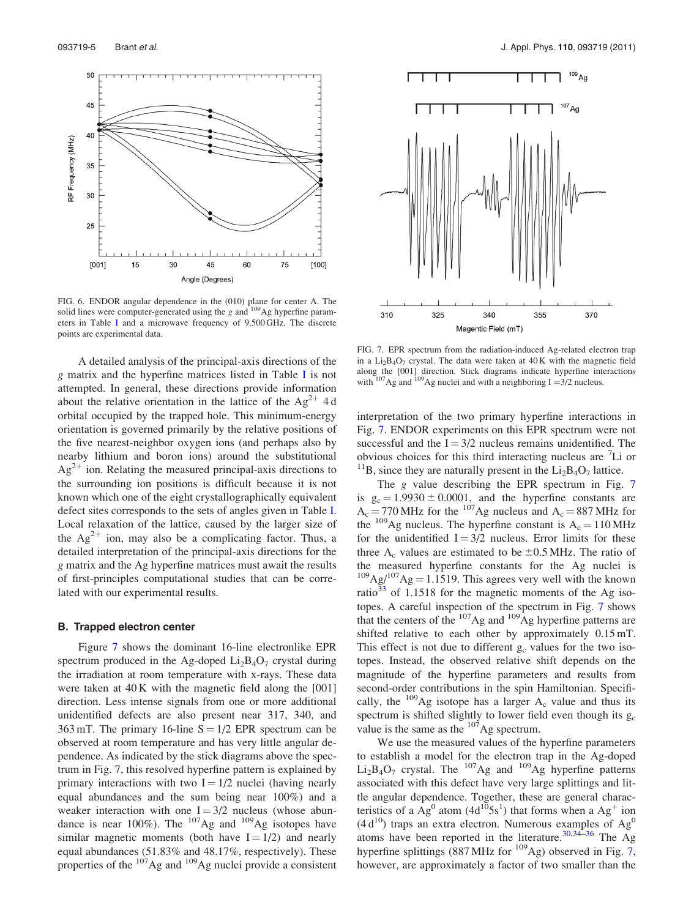<span id="page-6-0"></span>

FIG. 6. ENDOR angular dependence in the  $(010)$  plane for center A. The solid lines were computer-generated using the *g* and <sup>109</sup>Ag hyperfine parameters in Table [I](#page-4-0) and a microwave frequency of 9.500 GHz. The discrete points are experimental data.

A detailed analysis of the principal-axis directions of the g matrix and the hyperfine matrices listed in Table [I](#page-4-0) is not attempted. In general, these directions provide information about the relative orientation in the lattice of the  $Ag^{2+}$  4 d orbital occupied by the trapped hole. This minimum-energy orientation is governed primarily by the relative positions of the five nearest-neighbor oxygen ions (and perhaps also by nearby lithium and boron ions) around the substitutional  $Ag<sup>2+</sup>$  ion. Relating the measured principal-axis directions to the surrounding ion positions is difficult because it is not known which one of the eight crystallographically equivalent defect sites corresponds to the sets of angles given in Table [I](#page-4-0). Local relaxation of the lattice, caused by the larger size of the  $Ag^{2+}$  ion, may also be a complicating factor. Thus, a detailed interpretation of the principal-axis directions for the g matrix and the Ag hyperfine matrices must await the results of first-principles computational studies that can be correlated with our experimental results.

#### B. Trapped electron center

Figure 7 shows the dominant 16-line electronlike EPR spectrum produced in the Ag-doped  $Li_2B_4O_7$  crystal during the irradiation at room temperature with x-rays. These data were taken at 40 K with the magnetic field along the [001] direction. Less intense signals from one or more additional unidentified defects are also present near 317, 340, and 363 mT. The primary 16-line  $S = 1/2$  EPR spectrum can be observed at room temperature and has very little angular dependence. As indicated by the stick diagrams above the spectrum in Fig. 7, this resolved hyperfine pattern is explained by primary interactions with two  $I = 1/2$  nuclei (having nearly equal abundances and the sum being near 100%) and a weaker interaction with one  $I = 3/2$  nucleus (whose abundance is near 100%). The  $107Ag$  and  $109Ag$  isotopes have similar magnetic moments (both have  $I = 1/2$ ) and nearly equal abundances (51.83% and 48.17%, respectively). These properties of the <sup>107</sup>Ag and <sup>109</sup>Ag nuclei provide a consistent



FIG. 7. EPR spectrum from the radiation-induced Ag-related electron trap in a  $Li_2B_4O_7$  crystal. The data were taken at  $40K$  with the magnetic field along the [001] direction. Stick diagrams indicate hyperfine interactions with  $^{107}$ Ag and  $^{109}$ Ag nuclei and with a neighboring I =3/2 nucleus.

interpretation of the two primary hyperfine interactions in Fig. 7. ENDOR experiments on this EPR spectrum were not successful and the  $I = 3/2$  nucleus remains unidentified. The obvious choices for this third interacting nucleus are <sup>7</sup>Li or <sup>11</sup>B, since they are naturally present in the  $Li_2B_4O_7$  lattice.

The *g* value describing the EPR spectrum in Fig. 7 is  $g_c = 1.9930 \pm 0.0001$ , and the hyperfine constants are  $A_c = 770 \text{ MHz}$  for the <sup>107</sup>Ag nucleus and  $A_c = 887 \text{ MHz}$  for the  $^{109}$ Ag nucleus. The hyperfine constant is  $A_c = 110 \text{ MHz}$ for the unidentified  $I = 3/2$  nucleus. Error limits for these three  $A_c$  values are estimated to be  $\pm 0.5$  MHz. The ratio of the measured hyperfine constants for the Ag nuclei is  $109\text{Ag}/107\text{Ag} = 1.1519$ . This agrees very well with the known ratio $33$  of 1.1518 for the magnetic moments of the Ag isotopes. A careful inspection of the spectrum in Fig. 7 shows that the centers of the  $^{107}$ Ag and  $^{109}$ Ag hyperfine patterns are shifted relative to each other by approximately 0.15 mT. This effect is not due to different  $g_c$  values for the two isotopes. Instead, the observed relative shift depends on the magnitude of the hyperfine parameters and results from second-order contributions in the spin Hamiltonian. Specifically, the  $109\text{Ag}$  isotope has a larger A<sub>c</sub> value and thus its spectrum is shifted slightly to lower field even though its  $g_c$ value is the same as the  $^{107}$ Ag spectrum.

We use the measured values of the hyperfine parameters to establish a model for the electron trap in the Ag-doped  $Li<sub>2</sub>B<sub>4</sub>O<sub>7</sub>$  crystal. The  $107Ag$  and  $109Ag$  hyperfine patterns associated with this defect have very large splittings and little angular dependence. Together, these are general characteristics of a  $\text{Ag}^0$  atom (4d<sup>10</sup>5s<sup>1</sup>) that forms when a Ag<sup>+</sup> ion  $(4 d^{10})$  traps an extra electron. Numerous examples of  $Ag^0$ atoms have been reported in the literature.<sup>[30,34](#page-8-0)–[36](#page-8-0)</sup> The Ag hyperfine splittings (887 MHz for  $^{109}$ Ag) observed in Fig. 7, however, are approximately a factor of two smaller than the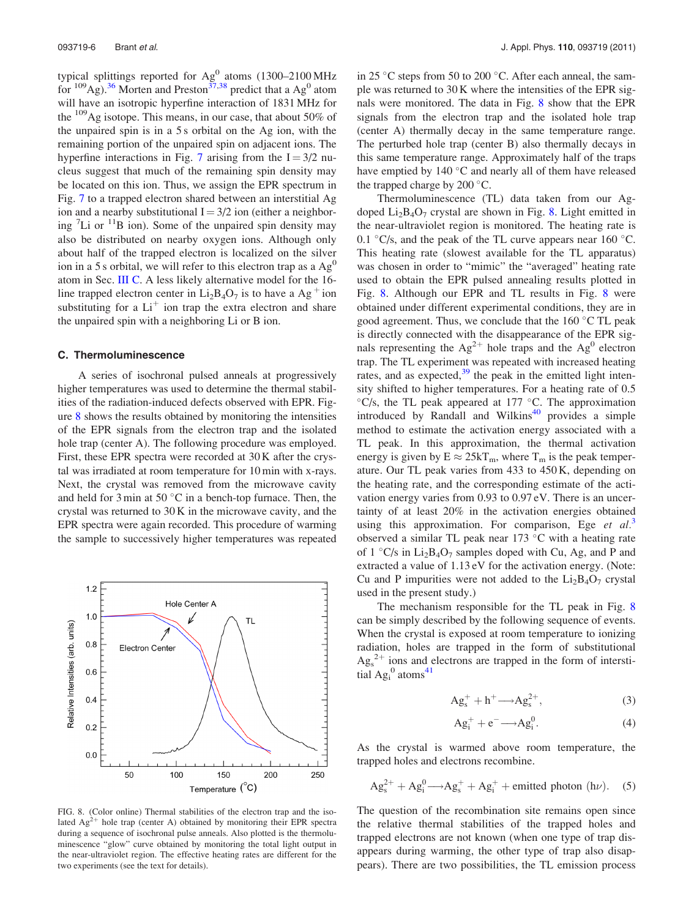typical splittings reported for  $Ag^{0}$  atoms (1300–2100 MHz for  $^{109}$ Ag).<sup>[36](#page-8-0)</sup> Morten and Preston<sup>[37,38](#page-8-0)</sup> predict that a Ag<sup>0</sup> atom will have an isotropic hyperfine interaction of 1831 MHz for the  $109\text{Ag}$  isotope. This means, in our case, that about 50% of the unpaired spin is in a 5 s orbital on the Ag ion, with the remaining portion of the unpaired spin on adjacent ions. The hyperfine interactions in Fig. [7](#page-6-0) arising from the  $I = 3/2$  nucleus suggest that much of the remaining spin density may be located on this ion. Thus, we assign the EPR spectrum in Fig. [7](#page-6-0) to a trapped electron shared between an interstitial Ag ion and a nearby substitutional  $I = 3/2$  ion (either a neighboring  ${}^{7}$ Li or  ${}^{11}$ B ion). Some of the unpaired spin density may also be distributed on nearby oxygen ions. Although only about half of the trapped electron is localized on the silver ion in a 5 s orbital, we will refer to this electron trap as a  $Ag<sup>0</sup>$ atom in Sec. III C. A less likely alternative model for the 16 line trapped electron center in  $Li_2B_4O_7$  is to have a Ag<sup>+</sup> ion substituting for a  $Li<sup>+</sup>$  ion trap the extra electron and share the unpaired spin with a neighboring Li or B ion.

#### C. Thermoluminescence

A series of isochronal pulsed anneals at progressively higher temperatures was used to determine the thermal stabilities of the radiation-induced defects observed with EPR. Figure 8 shows the results obtained by monitoring the intensities of the EPR signals from the electron trap and the isolated hole trap (center A). The following procedure was employed. First, these EPR spectra were recorded at 30 K after the crystal was irradiated at room temperature for 10 min with x-rays. Next, the crystal was removed from the microwave cavity and held for  $3 \text{ min}$  at  $50 \text{ °C}$  in a bench-top furnace. Then, the crystal was returned to 30 K in the microwave cavity, and the EPR spectra were again recorded. This procedure of warming the sample to successively higher temperatures was repeated



FIG. 8. (Color online) Thermal stabilities of the electron trap and the isolated  $Ag^{2+}$  hole trap (center A) obtained by monitoring their EPR spectra during a sequence of isochronal pulse anneals. Also plotted is the thermoluminescence "glow" curve obtained by monitoring the total light output in the near-ultraviolet region. The effective heating rates are different for the two experiments (see the text for details).

in 25 °C steps from 50 to 200 °C. After each anneal, the sample was returned to 30 K where the intensities of the EPR signals were monitored. The data in Fig. 8 show that the EPR signals from the electron trap and the isolated hole trap (center A) thermally decay in the same temperature range. The perturbed hole trap (center B) also thermally decays in this same temperature range. Approximately half of the traps have emptied by  $140^{\circ}$ C and nearly all of them have released the trapped charge by  $200^{\circ}$ C.

Thermoluminescence (TL) data taken from our Agdoped  $Li_2B_4O_7$  crystal are shown in Fig. 8. Light emitted in the near-ultraviolet region is monitored. The heating rate is 0.1  $\degree$ C/s, and the peak of the TL curve appears near 160  $\degree$ C. This heating rate (slowest available for the TL apparatus) was chosen in order to "mimic" the "averaged" heating rate used to obtain the EPR pulsed annealing results plotted in Fig. 8. Although our EPR and TL results in Fig. 8 were obtained under different experimental conditions, they are in good agreement. Thus, we conclude that the  $160^{\circ}$ C TL peak is directly connected with the disappearance of the EPR signals representing the  $Ag^{2+}$  hole traps and the  $Ag^{0}$  electron trap. The TL experiment was repeated with increased heating rates, and as expected, $39$  the peak in the emitted light intensity shifted to higher temperatures. For a heating rate of 0.5  $\mathrm{C\textsc{}/s}$ , the TL peak appeared at 177  $\mathrm{C\textsc{C}}$ . The approximation introduced by Randall and Wilkins $40$  provides a simple method to estimate the activation energy associated with a TL peak. In this approximation, the thermal activation energy is given by  $E \approx 25kT_m$ , where  $T_m$  is the peak temperature. Our TL peak varies from 433 to 450 K, depending on the heating rate, and the corresponding estimate of the activation energy varies from 0.93 to 0.97 eV. There is an uncertainty of at least 20% in the activation energies obtained using this approximation. For comparison, Ege et  $al^3$  $al^3$ . observed a similar TL peak near  $173$  °C with a heating rate of  $1 \degree C$ /s in Li<sub>2</sub>B<sub>4</sub>O<sub>7</sub> samples doped with Cu, Ag, and P and extracted a value of 1.13 eV for the activation energy. (Note: Cu and P impurities were not added to the  $Li_2B_4O_7$  crystal used in the present study.)

The mechanism responsible for the TL peak in Fig. 8 can be simply described by the following sequence of events. When the crystal is exposed at room temperature to ionizing radiation, holes are trapped in the form of substitutional  $\text{Ag}_s^{2+}$  ions and electrons are trapped in the form of interstitial  $\text{Ag}_i^0$  atoms<sup>[41](#page-8-0)</sup>

$$
Ag_s^+ + h^+ \longrightarrow Ag_s^{2+},\tag{3}
$$

$$
Ag_i^+ + e^- \longrightarrow Ag_i^0.
$$
 (4)

As the crystal is warmed above room temperature, the trapped holes and electrons recombine.

$$
Ag_s^{2+} + Ag_i^0 \longrightarrow Ag_s^+ + Ag_i^+ + emitted photon (h\nu).
$$
 (5)

The question of the recombination site remains open since the relative thermal stabilities of the trapped holes and trapped electrons are not known (when one type of trap disappears during warming, the other type of trap also disappears). There are two possibilities, the TL emission process